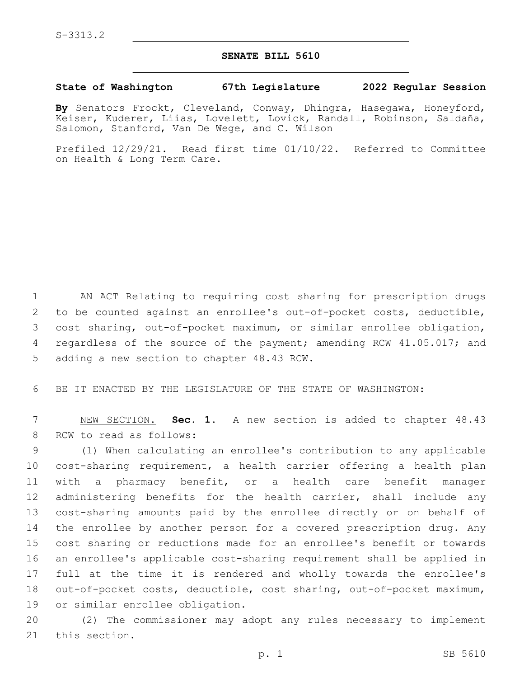## **SENATE BILL 5610**

## **State of Washington 67th Legislature 2022 Regular Session**

**By** Senators Frockt, Cleveland, Conway, Dhingra, Hasegawa, Honeyford, Keiser, Kuderer, Liias, Lovelett, Lovick, Randall, Robinson, Saldaña, Salomon, Stanford, Van De Wege, and C. Wilson

Prefiled 12/29/21. Read first time 01/10/22. Referred to Committee on Health & Long Term Care.

1 AN ACT Relating to requiring cost sharing for prescription drugs 2 to be counted against an enrollee's out-of-pocket costs, deductible, 3 cost sharing, out-of-pocket maximum, or similar enrollee obligation, 4 regardless of the source of the payment; amending RCW 41.05.017; and 5 adding a new section to chapter 48.43 RCW.

6 BE IT ENACTED BY THE LEGISLATURE OF THE STATE OF WASHINGTON:

7 NEW SECTION. **Sec. 1.** A new section is added to chapter 48.43 8 RCW to read as follows:

 (1) When calculating an enrollee's contribution to any applicable cost-sharing requirement, a health carrier offering a health plan with a pharmacy benefit, or a health care benefit manager administering benefits for the health carrier, shall include any cost-sharing amounts paid by the enrollee directly or on behalf of the enrollee by another person for a covered prescription drug. Any cost sharing or reductions made for an enrollee's benefit or towards an enrollee's applicable cost-sharing requirement shall be applied in full at the time it is rendered and wholly towards the enrollee's out-of-pocket costs, deductible, cost sharing, out-of-pocket maximum, 19 or similar enrollee obligation.

20 (2) The commissioner may adopt any rules necessary to implement 21 this section.